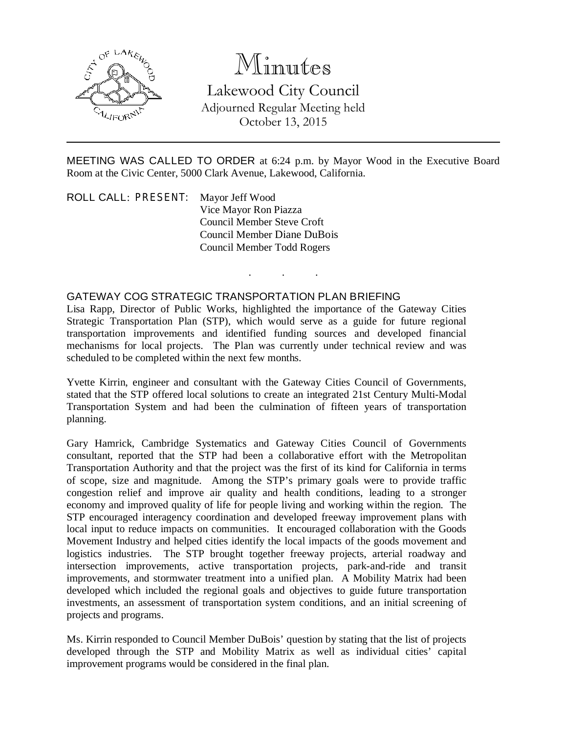

## Minutes

Lakewood City Council Adjourned Regular Meeting held October 13, 2015

MEETING WAS CALLED TO ORDER at 6:24 p.m. by Mayor Wood in the Executive Board Room at the Civic Center, 5000 Clark Avenue, Lakewood, California.

. . .

ROLL CALL: PRESENT: Mayor Jeff Wood Vice Mayor Ron Piazza Council Member Steve Croft Council Member Diane DuBois Council Member Todd Rogers

## GATEWAY COG STRATEGIC TRANSPORTATION PLAN BRIEFING

Lisa Rapp, Director of Public Works, highlighted the importance of the Gateway Cities Strategic Transportation Plan (STP), which would serve as a guide for future regional transportation improvements and identified funding sources and developed financial mechanisms for local projects. The Plan was currently under technical review and was scheduled to be completed within the next few months.

Yvette Kirrin, engineer and consultant with the Gateway Cities Council of Governments, stated that the STP offered local solutions to create an integrated 21st Century Multi-Modal Transportation System and had been the culmination of fifteen years of transportation planning.

Gary Hamrick, Cambridge Systematics and Gateway Cities Council of Governments consultant, reported that the STP had been a collaborative effort with the Metropolitan Transportation Authority and that the project was the first of its kind for California in terms of scope, size and magnitude. Among the STP's primary goals were to provide traffic congestion relief and improve air quality and health conditions, leading to a stronger economy and improved quality of life for people living and working within the region. The STP encouraged interagency coordination and developed freeway improvement plans with local input to reduce impacts on communities. It encouraged collaboration with the Goods Movement Industry and helped cities identify the local impacts of the goods movement and logistics industries. The STP brought together freeway projects, arterial roadway and intersection improvements, active transportation projects, park-and-ride and transit improvements, and stormwater treatment into a unified plan. A Mobility Matrix had been developed which included the regional goals and objectives to guide future transportation investments, an assessment of transportation system conditions, and an initial screening of projects and programs.

Ms. Kirrin responded to Council Member DuBois' question by stating that the list of projects developed through the STP and Mobility Matrix as well as individual cities' capital improvement programs would be considered in the final plan.